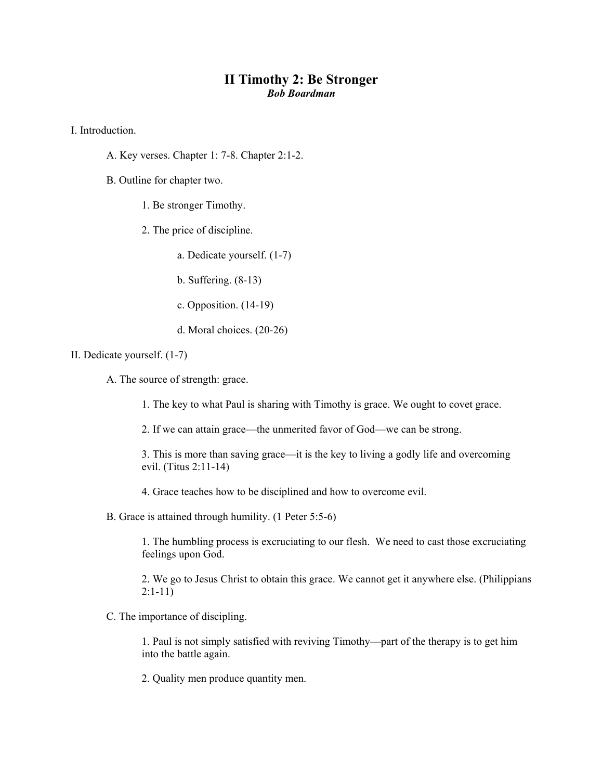## **II Timothy 2: Be Stronger**  *Bob Boardman*

I. Introduction.

- A. Key verses. Chapter 1: 7-8. Chapter 2:1-2.
- B. Outline for chapter two.
	- 1. Be stronger Timothy.
	- 2. The price of discipline.
		- a. Dedicate yourself. (1-7)
		- b. Suffering. (8-13)
		- c. Opposition. (14-19)
		- d. Moral choices. (20-26)
- II. Dedicate yourself. (1-7)
	- A. The source of strength: grace.
		- 1. The key to what Paul is sharing with Timothy is grace. We ought to covet grace.
		- 2. If we can attain grace—the unmerited favor of God—we can be strong.
		- 3. This is more than saving grace—it is the key to living a godly life and overcoming evil. (Titus 2:11-14)
		- 4. Grace teaches how to be disciplined and how to overcome evil.
	- B. Grace is attained through humility. (1 Peter 5:5-6)

1. The humbling process is excruciating to our flesh. We need to cast those excruciating feelings upon God.

2. We go to Jesus Christ to obtain this grace. We cannot get it anywhere else. (Philippians 2:1-11)

C. The importance of discipling.

1. Paul is not simply satisfied with reviving Timothy—part of the therapy is to get him into the battle again.

2. Quality men produce quantity men.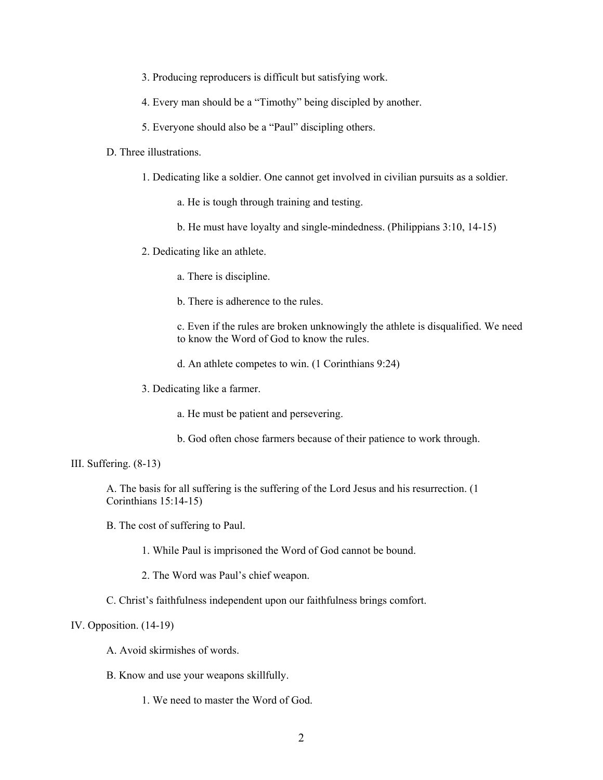- 3. Producing reproducers is difficult but satisfying work.
- 4. Every man should be a "Timothy" being discipled by another.
- 5. Everyone should also be a "Paul" discipling others.

## D. Three illustrations.

- 1. Dedicating like a soldier. One cannot get involved in civilian pursuits as a soldier.
	- a. He is tough through training and testing.
	- b. He must have loyalty and single-mindedness. (Philippians 3:10, 14-15)
- 2. Dedicating like an athlete.
	- a. There is discipline.
	- b. There is adherence to the rules.
	- c. Even if the rules are broken unknowingly the athlete is disqualified. We need to know the Word of God to know the rules.
	- d. An athlete competes to win. (1 Corinthians 9:24)
- 3. Dedicating like a farmer.
	- a. He must be patient and persevering.
	- b. God often chose farmers because of their patience to work through.

## III. Suffering. (8-13)

A. The basis for all suffering is the suffering of the Lord Jesus and his resurrection. (1 Corinthians 15:14-15)

- B. The cost of suffering to Paul.
	- 1. While Paul is imprisoned the Word of God cannot be bound.
	- 2. The Word was Paul's chief weapon.
- C. Christ's faithfulness independent upon our faithfulness brings comfort.

## IV. Opposition. (14-19)

- A. Avoid skirmishes of words.
- B. Know and use your weapons skillfully.
	- 1. We need to master the Word of God.